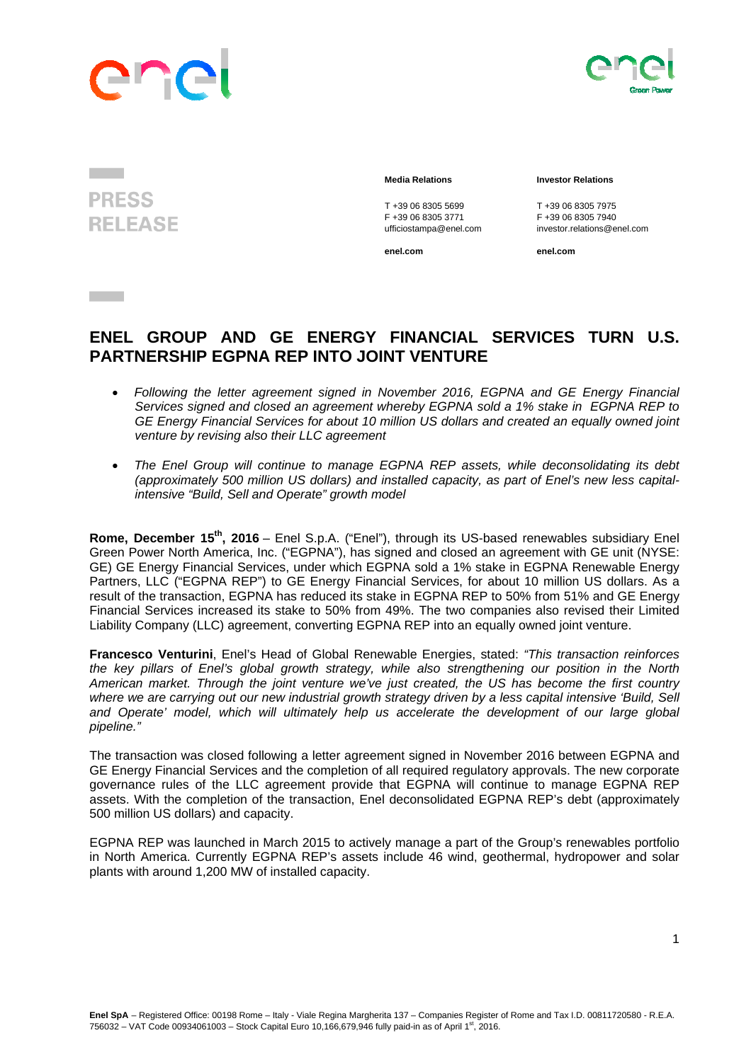



**PRESS RELEASE** 

**Contract Contract** 

T +39 06 8305 5699<br>
F +39 06 8305 3771<br>
F +39 06 8305 3771<br>
F +39 06 8305 7940

## **Media Relations Investor Relations**

F +39 06 8305 3771 F +39 06 8305 7940 ufficiostampa@enel.com investor.relations@enel.com

**enel.com enel.com**

## **ENEL GROUP AND GE ENERGY FINANCIAL SERVICES TURN U.S. PARTNERSHIP EGPNA REP INTO JOINT VENTURE**

- *Following the letter agreement signed in November 2016, EGPNA and GE Energy Financial Services signed and closed an agreement whereby EGPNA sold a 1% stake in EGPNA REP to GE Energy Financial Services for about 10 million US dollars and created an equally owned joint venture by revising also their LLC agreement*
- *The Enel Group will continue to manage EGPNA REP assets, while deconsolidating its debt (approximately 500 million US dollars) and installed capacity, as part of Enel's new less capitalintensive "Build, Sell and Operate" growth model*

**Rome, December 15th, 2016** – Enel S.p.A. ("Enel"), through its US-based renewables subsidiary Enel Green Power North America, Inc. ("EGPNA"), has signed and closed an agreement with GE unit (NYSE: GE) GE Energy Financial Services, under which EGPNA sold a 1% stake in EGPNA Renewable Energy Partners, LLC ("EGPNA REP") to GE Energy Financial Services, for about 10 million US dollars. As a result of the transaction, EGPNA has reduced its stake in EGPNA REP to 50% from 51% and GE Energy Financial Services increased its stake to 50% from 49%. The two companies also revised their Limited Liability Company (LLC) agreement, converting EGPNA REP into an equally owned joint venture.

**Francesco Venturini**, Enel's Head of Global Renewable Energies, stated: *"This transaction reinforces the key pillars of Enel's global growth strategy, while also strengthening our position in the North American market. Through the joint venture we've just created, the US has become the first country where we are carrying out our new industrial growth strategy driven by a less capital intensive 'Build, Sell*  and Operate' model, which will ultimately help us accelerate the development of our large global *pipeline."* 

The transaction was closed following a letter agreement signed in November 2016 between EGPNA and GE Energy Financial Services and the completion of all required regulatory approvals. The new corporate governance rules of the LLC agreement provide that EGPNA will continue to manage EGPNA REP assets. With the completion of the transaction, Enel deconsolidated EGPNA REP's debt (approximately 500 million US dollars) and capacity.

EGPNA REP was launched in March 2015 to actively manage a part of the Group's renewables portfolio in North America. Currently EGPNA REP's assets include 46 wind, geothermal, hydropower and solar plants with around 1,200 MW of installed capacity.